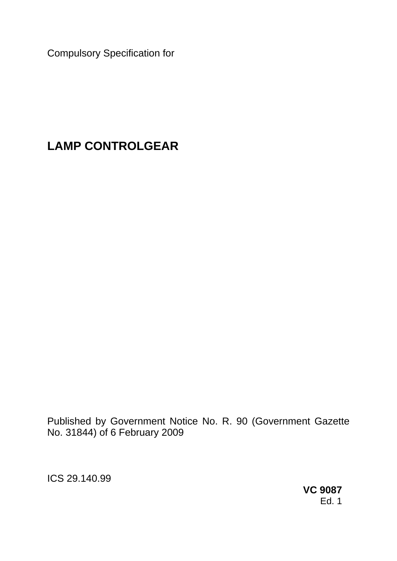Compulsory Specification for

# **LAMP CONTROLGEAR**

Published by Government Notice No. R. 90 (Government Gazette No. 31844) of 6 February 2009

ICS 29.140.99

**VC 9087**  Ed. 1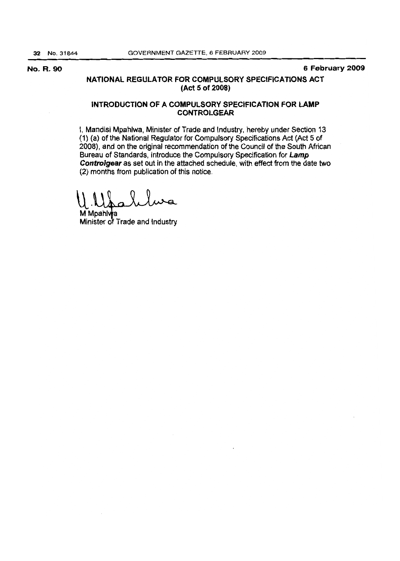No. R. 90 6 February 2009

## NATIONAL REGULATOR FOR COMPULSORY SPECIFICATIONS ACT (Act 5 of 2008)

## INTRODUCTION OF A COMPULSORY SPECIFICATION FOR LAMP CONTROLGEAR

I, Mandisi Mpahlwa, Minister of Trade and Industry. hereby under Section 13 (1) (a) of the National Regulator for Compulsory Specifications Act (Act 5 of 2008), and on the original recommendation of the Council of the South African Bureau of Standards, introduce the Compulsory Specification for Lamp Controlgear as set out in the attached schedule. with effect from the date two (2) months from publication of this notice.

 $\mathsf{U}$  .  $\mathsf{I}$ 

M Mpahlwa Minister of Trade and Industry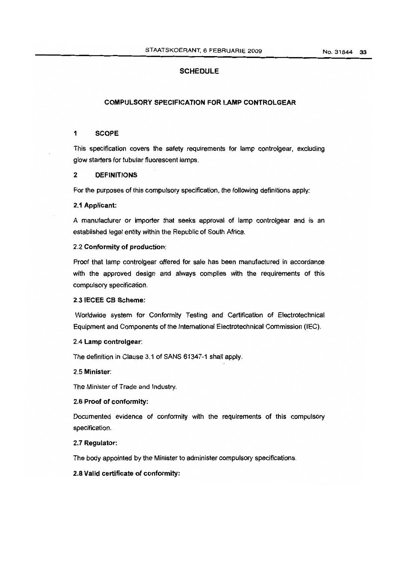## **SCHEDULE**

## COMPULSORY SPECIFICATION FOR LAMP CONTROLGEAR

## 1 SCOPE

This specification covers the safety requirements for lamp controlgear, excluding glow starters for tubular fluorescent lamps.

#### 2 DEFINITIONS

For the purposes of this compulsory specification, the following definitions apply:

## 2.1 Applicant:

A manufacturer or importer that seeks approval of lamp controlgear and is an established legal entity within the Republic of South Africa.

#### 2.2 Conformity of production:

Proof that lamp controlgear offered for sale has been manufactured in accordance with the approved design and always complies with the requirements of this compulsory specification.

## 2.3 IECEE CB Scheme:

Worldwide system for Conformity Testing and Certification of Electrotechnical Equipment and Components of the Intemational Electrotechnical Commission (lEG).

## 2.4 Lamp controlgear:

The definition in Clause 3.1 of SANS 61347-1 shall apply.

## 2.5 Minister:

The Minister of Trade and Industry.

## 2.6 Proof of conformity:

Documented evidence of conformity with the requirements of this compulsory specification.

#### 2.7 Regulator:

The body appointed by the Minister to administer compulsory specifications.

#### 2.8 Valid certificate of conformity: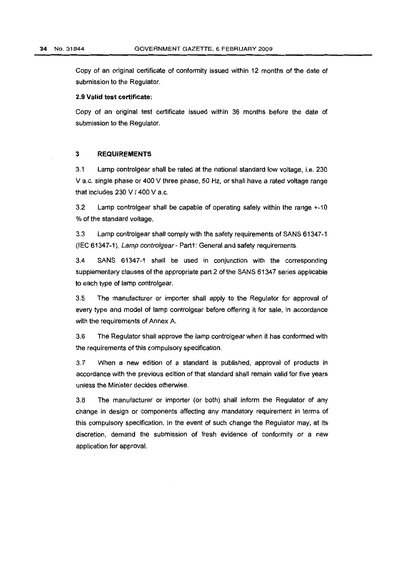Copy of an original certificate of conformity issued within 12 months of the date of submission to the Regulator.

#### 2.9 Valid test certificate:

Copy of an original test certificate issued within 36 months before the date of submission to the Regulator.

#### 3 **REQUIREMENTS**

3.1 Lamp controlgear shall be rated at the national standard low voltage, i.e. 230 V a.c. single phase or 400 V three phase, 50 Hz, or shall have a rated voltage range that includes  $230 \text{ V}$  /  $400 \text{ V}$  a.c.

3.2 Lamp controlgear shall be capable of operating safely within the range +~ 10 % of the standard voltage.

3.3 Lamp controlgear shall comply with the safety requirements of SANS 61347~1 (IEC 61347-1), Lamp controlgear~ Part1: General and safety requirements.

3.4 SANS 61347-1 shall be used in conjunction with the corresponding supplementary clauses of the appropriate part 2 of the SANS 61347 series applicable to each type of lamp controlgear.

3.5 The manufacturer or importer shall apply to the Regulator for approval of every type and model of lamp controlgear before offering it for sale, in accordance with the requirements of Annex A.

3.6 The Regulator shall approve the lamp controlgear when it has conformed with the requirements of this compulsory specification.

3.7 When a new edition of a standard is published, approval of products in accordance with the previous edition of that standard shall remain valid for five years unless the Minister decides otherwise.

3.8 The manufacturer or importer (or both) shall inform the Regulator of any change in design or components affecting any mandatory requirement in terms of this compulsory specification. In the event of such Change the Regulator may, at its discretion, demand the submission of fresh evidence of conformily or a new application for approval.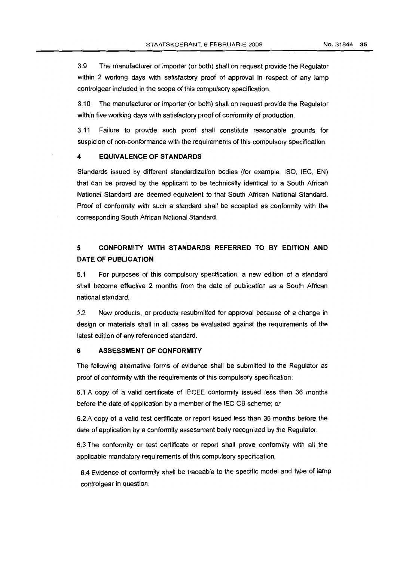3.9 The manufacturer or importer (or both) shall on request provide the Regulator within 2 working days with satisfactory proof of approval in respect of any lamp controlgear included in the scope of this compulsory specification.

3.10 The manufacturer or importer (or both) shall on request provide the Regulator within five working days with satisfactory proof of conformity of production.

3.11 Failure to provide such proof shall constitute reasonable grounds for suspicion of non-conformance with the requirements of this compulsory specification.

## **4 EQUIVALENCE OF STANDARDS**

Standards issued by different standardization bodies (for example, ISO, lEG, EN) that can be proved by the applicant to be technically identical to a South African National Standard are deemed equivalent to that South African National Standard. Proof of conformity with such a standard shall be accepted as conformity with the corresponding South African National Standard.

## **5 CONFORMITY WITH STANDARDS REFERRED TO BY EDITION AND DATE OF PUBLICATION**

5.1 For purposes of this compulsory specification, a new edition of a standard shall become effective 2 months from the date of publication as a South African national standard.

5.2 New products, or products resubmitted for approval because of a change in design or materials shall in all cases be evaluated against the requirements of the latest edition of any referenced standard.

## 6 **ASSESSMENT OF CONFORMITY**

The following alternative forms of evidence shall be submitted to the Regulator as proof of conformity with the requirements of this compulsory specification:

6.1 A copy of a valid certificate of IEGEE conformity issued less than 36 months before the date of application by a member of the lEG GB scheme; or

6.2 A copy of a valid test certificate or report issued less than 36 months before the date of application by a conformity assessment body recognized by the Regulator.

6.3 The conformity or test certificate or report shall prove conformity with all the applicable mandatory requirements of this compulsory specification.

6.4 Evidence of conformity shall be traceable to the specific model and type of lamp controlgear in question.